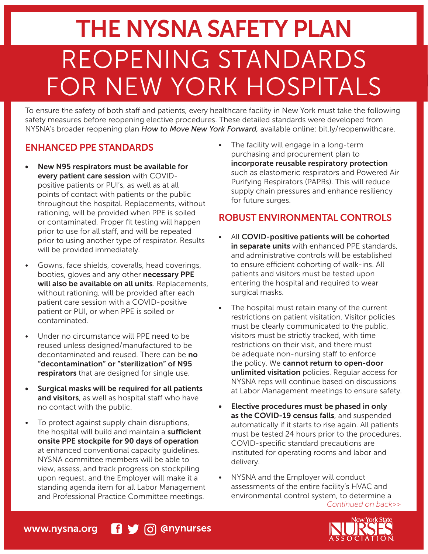# FOR NEW YORK HOSPITALS REOPENING STANDARDS THE NYSNA SAFETY PLAN

To ensure the safety of both staff and patients, every healthcare facility in New York must take the following safety measures before reopening elective procedures. These detailed standards were developed from NYSNA's broader reopening plan *How to Move New York Forward,* available online: bit.ly/reopenwithcare.

## ENHANCED PPE STANDARDS

- New N95 respirators must be available for every patient care session with COVIDpositive patients or PUI's, as well as at all points of contact with patients or the public throughout the hospital. Replacements, without rationing, will be provided when PPE is soiled or contaminated. Proper fit testing will happen prior to use for all staff, and will be repeated prior to using another type of respirator. Results will be provided immediately.
- Gowns, face shields, coveralls, head coverings, booties, gloves and any other necessary PPE will also be available on all units. Replacements, without rationing, will be provided after each patient care session with a COVID-positive patient or PUI, or when PPE is soiled or contaminated.
- Under no circumstance will PPE need to be reused unless designed/manufactured to be decontaminated and reused. There can be no "decontamination" or "sterilization" of N95 respirators that are designed for single use.
- Surgical masks will be required for all patients and visitors, as well as hospital staff who have no contact with the public.
- To protect against supply chain disruptions, the hospital will build and maintain a sufficient onsite PPE stockpile for 90 days of operation at enhanced conventional capacity guidelines. NYSNA committee members will be able to view, assess, and track progress on stockpiling upon request, and the Employer will make it a standing agenda item for all Labor Management and Professional Practice Committee meetings.

• The facility will engage in a long-term purchasing and procurement plan to incorporate reusable respiratory protection such as elastomeric respirators and Powered Air Purifying Respirators (PAPRs). This will reduce supply chain pressures and enhance resiliency for future surges.

### ROBUST ENVIRONMENTAL CONTROLS

- All COVID-positive patients will be cohorted in separate units with enhanced PPE standards, and administrative controls will be established to ensure efficient cohorting of walk-ins. All patients and visitors must be tested upon entering the hospital and required to wear surgical masks.
- The hospital must retain many of the current restrictions on patient visitation. Visitor policies must be clearly communicated to the public, visitors must be strictly tracked, with time restrictions on their visit, and there must be adequate non-nursing staff to enforce the policy. We cannot return to open-door unlimited visitation policies. Regular access for NYSNA reps will continue based on discussions at Labor Management meetings to ensure safety.
- Elective procedures must be phased in only as the COVID-19 census falls, and suspended automatically if it starts to rise again. All patients must be tested 24 hours prior to the procedures. COVID-specific standard precautions are instituted for operating rooms and labor and delivery.
- NYSNA and the Employer will conduct assessments of the entire facility's HVAC and environmental control system, to determine a

*Continued on back>>*



## www.nysna.org **f** y <sub>o</sub> @nynurses